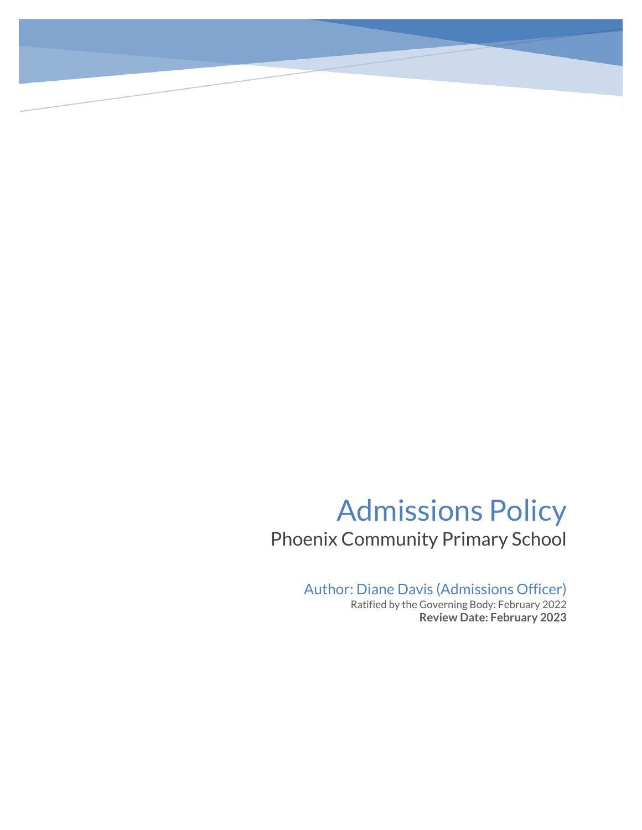# Admissions Policy Phoenix Community Primary School

Author: Diane Davis (Admissions Officer)

Ratified by the Governing Body: February 2022 **Review Date: February 2023**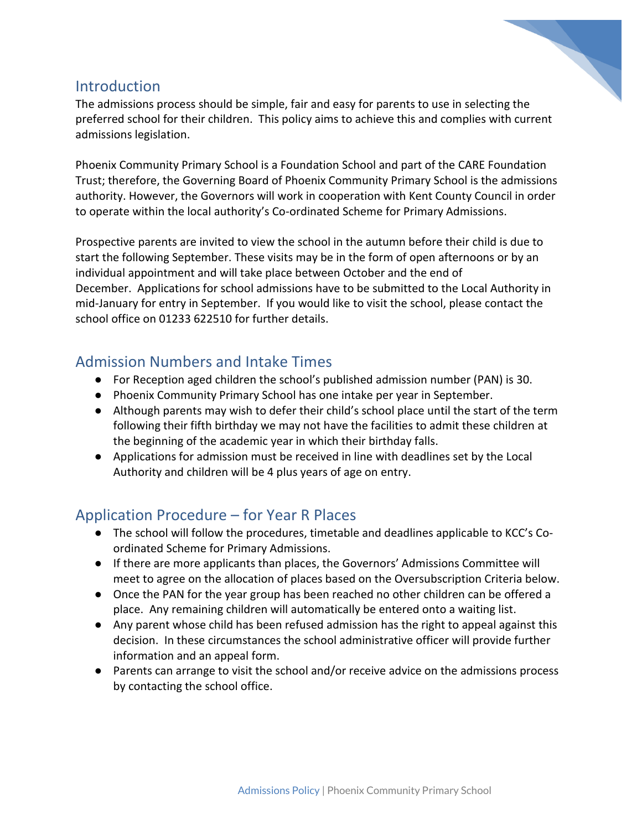

#### **Introduction**

The admissions process should be simple, fair and easy for parents to use in selecting the preferred school for their children. This policy aims to achieve this and complies with current admissions legislation.

Phoenix Community Primary School is a Foundation School and part of the CARE Foundation Trust; therefore, the Governing Board of Phoenix Community Primary School is the admissions authority. However, the Governors will work in cooperation with Kent County Council in order to operate within the local authority's Co-ordinated Scheme for Primary Admissions.

Prospective parents are invited to view the school in the autumn before their child is due to start the following September. These visits may be in the form of open afternoons or by an individual appointment and will take place between October and the end of December. Applications for school admissions have to be submitted to the Local Authority in mid-January for entry in September. If you would like to visit the school, please contact the school office on 01233 622510 for further details.

#### Admission Numbers and Intake Times

- For Reception aged children the school's published admission number (PAN) is 30.
- Phoenix Community Primary School has one intake per year in September.
- Although parents may wish to defer their child's school place until the start of the term following their fifth birthday we may not have the facilities to admit these children at the beginning of the academic year in which their birthday falls.
- Applications for admission must be received in line with deadlines set by the Local Authority and children will be 4 plus years of age on entry.

# Application Procedure – for Year R Places

- The school will follow the procedures, timetable and deadlines applicable to KCC's Coordinated Scheme for Primary Admissions.
- If there are more applicants than places, the Governors' Admissions Committee will meet to agree on the allocation of places based on the Oversubscription Criteria below.
- Once the PAN for the year group has been reached no other children can be offered a place. Any remaining children will automatically be entered onto a waiting list.
- Any parent whose child has been refused admission has the right to appeal against this decision. In these circumstances the school administrative officer will provide further information and an appeal form.
- Parents can arrange to visit the school and/or receive advice on the admissions process by contacting the school office.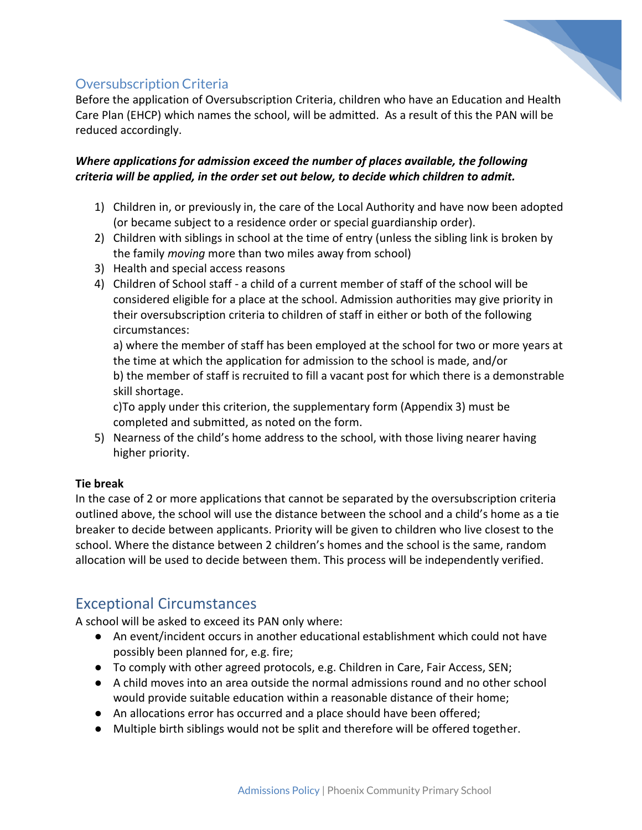

#### Oversubscription Criteria

Before the application of Oversubscription Criteria, children who have an Education and Health Care Plan (EHCP) which names the school, will be admitted. As a result of this the PAN will be reduced accordingly.

#### *Where applications for admission exceed the number of places available, the following criteria will be applied, in the order set out below, to decide which children to admit.*

- 1) Children in, or previously in, the care of the Local Authority and have now been adopted (or became subject to a residence order or special guardianship order).
- 2) Children with siblings in school at the time of entry (unless the sibling link is broken by the family *moving* more than two miles away from school)
- 3) Health and special access reasons
- 4) Children of School staff a child of a current member of staff of the school will be considered eligible for a place at the school. Admission authorities may give priority in their oversubscription criteria to children of staff in either or both of the following circumstances:

a) where the member of staff has been employed at the school for two or more years at the time at which the application for admission to the school is made, and/or b) the member of staff is recruited to fill a vacant post for which there is a demonstrable skill shortage.

c)To apply under this criterion, the supplementary form (Appendix 3) must be completed and submitted, as noted on the form.

5) Nearness of the child's home address to the school, with those living nearer having higher priority.

#### **Tie break**

In the case of 2 or more applications that cannot be separated by the oversubscription criteria outlined above, the school will use the distance between the school and a child's home as a tie breaker to decide between applicants. Priority will be given to children who live closest to the school. Where the distance between 2 children's homes and the school is the same, random allocation will be used to decide between them. This process will be independently verified.

# Exceptional Circumstances

A school will be asked to exceed its PAN only where:

- An event/incident occurs in another educational establishment which could not have possibly been planned for, e.g. fire;
- To comply with other agreed protocols, e.g. Children in Care, Fair Access, SEN;
- A child moves into an area outside the normal admissions round and no other school would provide suitable education within a reasonable distance of their home;
- An allocations error has occurred and a place should have been offered;
- Multiple birth siblings would not be split and therefore will be offered together.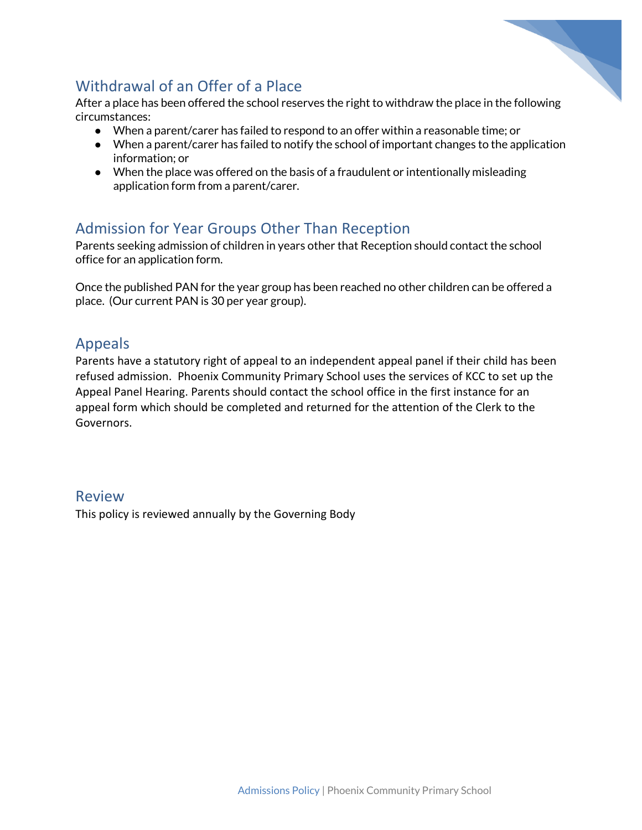

## Withdrawal of an Offer of a Place

After a place has been offered the school reserves the right to withdraw the place in the following circumstances:

- When a parent/carer has failed to respond to an offer within a reasonable time; or
- When a parent/carer has failed to notify the school of important changes to the application information; or
- When the place was offered on the basis of a fraudulent or intentionally misleading application form from a parent/carer.

# Admission for Year Groups Other Than Reception

Parents seeking admission of children in years other that Reception should contact the school office for an application form.

Once the published PAN for the year group has been reached no other children can be offered a place. (Our current PAN is 30 per year group).

#### Appeals

Parents have a statutory right of appeal to an independent appeal panel if their child has been refused admission. Phoenix Community Primary School uses the services of KCC to set up the Appeal Panel Hearing. Parents should contact the school office in the first instance for an appeal form which should be completed and returned for the attention of the Clerk to the Governors.

#### Review

This policy is reviewed annually by the Governing Body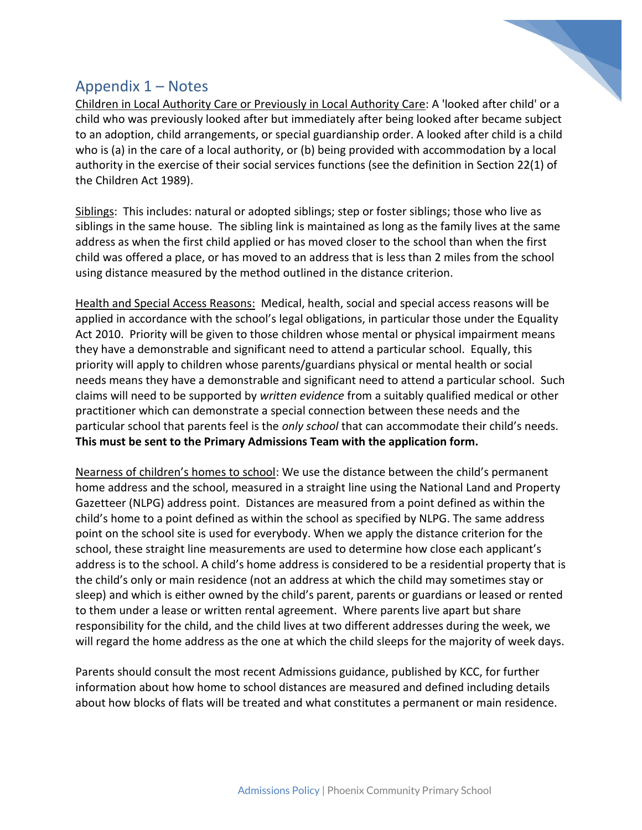

### Appendix 1 – Notes

Children in Local Authority Care or Previously in Local Authority Care: A 'looked after child' or a child who was previously looked after but immediately after being looked after became subject to an adoption, child arrangements, or special guardianship order. A looked after child is a child who is (a) in the care of a local authority, or (b) being provided with accommodation by a local authority in the exercise of their social services functions (see the definition in Section 22(1) of the Children Act 1989).

Siblings: This includes: natural or adopted siblings; step or foster siblings; those who live as siblings in the same house. The sibling link is maintained as long as the family lives at the same address as when the first child applied or has moved closer to the school than when the first child was offered a place, or has moved to an address that is less than 2 miles from the school using distance measured by the method outlined in the distance criterion.

Health and Special Access Reasons: Medical, health, social and special access reasons will be applied in accordance with the school's legal obligations, in particular those under the Equality Act 2010. Priority will be given to those children whose mental or physical impairment means they have a demonstrable and significant need to attend a particular school. Equally, this priority will apply to children whose parents/guardians physical or mental health or social needs means they have a demonstrable and significant need to attend a particular school. Such claims will need to be supported by *written evidence* from a suitably qualified medical or other practitioner which can demonstrate a special connection between these needs and the particular school that parents feel is the *only school* that can accommodate their child's needs. **This must be sent to the Primary Admissions Team with the application form.**

Nearness of children's homes to school: We use the distance between the child's permanent home address and the school, measured in a straight line using the National Land and Property Gazetteer (NLPG) address point. Distances are measured from a point defined as within the child's home to a point defined as within the school as specified by NLPG. The same address point on the school site is used for everybody. When we apply the distance criterion for the school, these straight line measurements are used to determine how close each applicant's address is to the school. A child's home address is considered to be a residential property that is the child's only or main residence (not an address at which the child may sometimes stay or sleep) and which is either owned by the child's parent, parents or guardians or leased or rented to them under a lease or written rental agreement. Where parents live apart but share responsibility for the child, and the child lives at two different addresses during the week, we will regard the home address as the one at which the child sleeps for the majority of week days.

Parents should consult the most recent Admissions guidance, published by KCC, for further information about how home to school distances are measured and defined including details about how blocks of flats will be treated and what constitutes a permanent or main residence.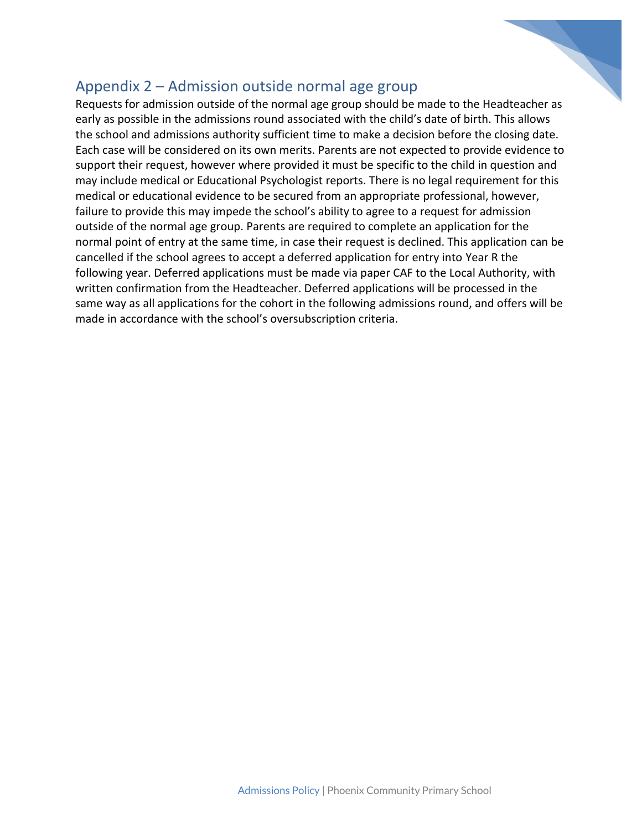

### Appendix 2 – Admission outside normal age group

Requests for admission outside of the normal age group should be made to the Headteacher as early as possible in the admissions round associated with the child's date of birth. This allows the school and admissions authority sufficient time to make a decision before the closing date. Each case will be considered on its own merits. Parents are not expected to provide evidence to support their request, however where provided it must be specific to the child in question and may include medical or Educational Psychologist reports. There is no legal requirement for this medical or educational evidence to be secured from an appropriate professional, however, failure to provide this may impede the school's ability to agree to a request for admission outside of the normal age group. Parents are required to complete an application for the normal point of entry at the same time, in case their request is declined. This application can be cancelled if the school agrees to accept a deferred application for entry into Year R the following year. Deferred applications must be made via paper CAF to the Local Authority, with written confirmation from the Headteacher. Deferred applications will be processed in the same way as all applications for the cohort in the following admissions round, and offers will be made in accordance with the school's oversubscription criteria.